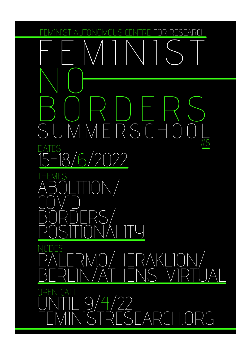ARI

JMMERSC  $\bigcirc$  $5/2022$  $\blacklozenge$ 

 $\text{ON}/$ 

ERA  $\sqrt{}$  $9/4/22$  $5FAF$  $\bigcup$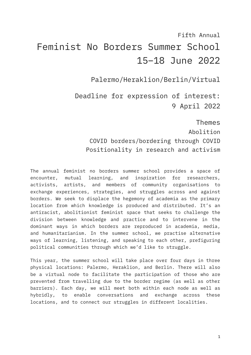# Fifth Annual Feminist No Borders Summer School 15–18 June 2022

Palermo/Heraklion/Berlin/Virtual

Deadline for expression of interest: 9 April 2022

Themes Abolition COVID borders/bordering through COVID Positionality in research and activism

The annual feminist no borders summer school provides a space of encounter, mutual learning, and inspiration for researchers, activists, artists, and members of community organisations to exchange experiences, strategies, and struggles across and against borders. We seek to displace the hegemony of academia as the primary location from which knowledge is produced and distributed. It's an antiracist, abolitionist feminist space that seeks to challenge the division between knowledge and practice and to intervene in the dominant ways in which borders are reproduced in academia, media, and humanitarianism. In the summer school, we practise alternative ways of learning, listening, and speaking to each other, prefiguring political communities through which we'd like to struggle.

This year, the summer school will take place over four days in three physical locations: Palermo, Heraklion, and Berlin. There will also be a virtual node to facilitate the participation of those who are prevented from travelling due to the border regime (as well as other barriers). Each day, we will meet both within each node as well as hybridly, to enable conversations and exchange across these locations, and to connect our struggles in different localities.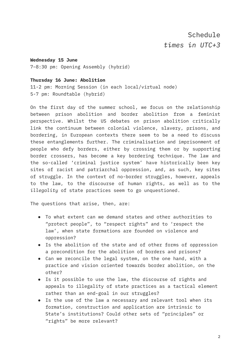**Wednesday 15 June** 7–8:30 pm: Opening Assembly (hybrid)

#### **Thursday 16 June: Abolition**

11-2 pm: Morning Session (in each local/virtual node) 5-7 pm: Roundtable (hybrid)

On the first day of the summer school, we focus on the relationship between prison abolition and border abolition from a feminist perspective. Whilst the US debates on prison abolition critically link the continuum between colonial violence, slavery, prisons, and bordering, in European contexts there seem to be a need to discuss these entanglements further. The criminalisation and imprisonment of people who defy borders, either by crossing them or by supporting border crossers, has become a key bordering technique. The law and the so-called 'criminal justice system' have historically been key sites of racist and patriarchal oppression, and, as such, key sites of struggle. In the context of no-border struggles, however, appeals to the law, to the discourse of human rights, as well as to the *illegality* of state practices seem to go unquestioned.

The questions that arise, then, are:

- To what extent can we demand states and other authorities to "protect people", to "respect rights" and to 'respect the law', when state formations are founded on violence and oppression?
- Is the abolition of the state and of other forms of oppression a precondition for the abolition of borders and prisons?
- Can we reconcile the legal system, on the one hand, with a practice and vision oriented towards border abolition, on the other?
- Is it possible to use the law, the discourse of rights and appeals to illegality of state practices as a tactical element rather than an end-goal in our struggles?
- Is the use of the law a necessary and relevant tool when its formation, construction and application are intrinsic to State's institutions? Could other sets of "principles" or "rights" be more relevant?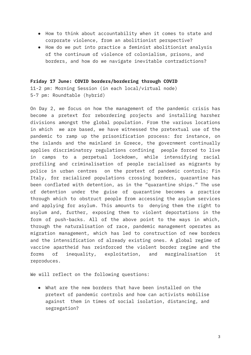- How to think about accountability when it comes to state and corporate violence, from an abolitionist perspective?
- How do we put into practice a feminist abolitionist analysis of the continuum of violence of colonialism, prisons, and borders, and how do we navigate inevitable contradictions?

#### **Friday 17 June: COVID borders/bordering through COVID**

11-2 pm: Morning Session (in each local/virtual node) 5-7 pm: Roundtable (hybrid)

On Day 2, we focus on how the management of the pandemic crisis has become a pretext for rebordering projects and installing harsher divisions amongst the global population. From the various locations in which we are based, we have witnessed the pretextual use of the pandemic to ramp up the prisonification process: for instance, on the islands and the mainland in Greece, the government continually applies discriminatory regulations confining people forced to live in camps to a perpetual lockdown, while intensifying racial profiling and criminalisation of people racialised as migrants by police in urban centres on the pretext of pandemic controls; Fin Italy, for racialized populations crossing borders, quarantine has been conflated with detention, as in the "quarantine ships." The use of detention under the guise of quarantine becomes a practice through which to obstruct people from accessing the asylum services and applying for asylum. This amounts to denying them the right to asylum and, further, exposing them to violent deportations in the form of push-backs. All of the above point to the ways in which, through the naturalisation of race, pandemic management operates as migration management, which has led to construction of new borders and the intensification of already existing ones. A global regime of vaccine apartheid has reinforced the violent border regime and the forms of inequality, exploitation, and marginalisation it reproduces.

We will reflect on the following questions:

● What are the new borders that have been installed on the pretext of pandemic controls and how can activists mobilise against them in times of social isolation, distancing, and segregation?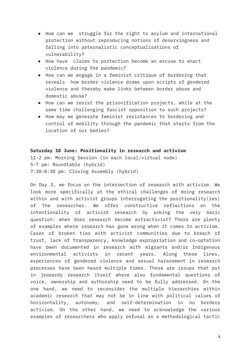- How can we struggle for the right to asylum and international protection without reproducing notions of deservingness and falling into paternalistic conceptualisations of vulnerability?
- How have claims to protection become an excuse to enact violence during the pandemic?
- How can we engage in a feminist critique of bordering that reveals how border violence draws upon scripts of gendered violence and thereby make links between border abuse and domestic abuse?
- How can we resist the prisonification projects, while at the same time challenging fascist opposition to such projects?
- How may we generate feminist resistances to bordering and control of mobility through the pandemic that starts from the location of our bodies?

#### **Saturday 18 June: Positionality in research and activism**

11-2 pm: Morning Session (in each local/virtual node) 5-7 pm: Roundtable (hybrid) 7:30-8:30 pm: Closing Assembly (hybrid)

On Day 3, we focus on the intersection of research with activism. We look more specifically at the ethical challenges of doing research within and with activist groups interrogating the positionality(ies) of the researcher. We offer constructive reflections on the intentionality of activist research by asking the very basic question: when does research become extractivist? There are plenty of examples where research has gone wrong when it comes to activism. Cases of broken ties with activist communities due to breach of trust, lack of transparency, knowledge expropriation and co-optation have been documented in research with migrants and/or Indigenous environmental activists in recent years. Along these lines, experiences of gendered violence and sexual harassment in research processes have been heard multiple times. These are issues that put in jeopardy research itself where also fundamental questions of voice, ownership and authorship need to be fully addressed. On the one hand, we need to reconsider the multiple hierarchies within academic research that may not be in line with political values of horizontality, autonomy, and self-determination in no borders activism. On the other hand, we need to acknowledge the various examples of researchers who apply refusal as a methodological tactic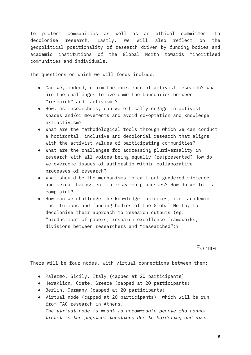to protect communities as well as an ethical commitment to decolonise research. Lastly, we will also reflect on the geopolitical positionality of research driven by funding bodies and academic institutions of the Global North towards minoritised communities and individuals.

The questions on which we will focus include:

- Can we, indeed, claim the existence of activist research? What are the challenges to overcome the boundaries between "research" and "activism"?
- How, as researchers, can we ethically engage in activist spaces and/or movements and avoid co-optation and knowledge extractivism?
- What are the methodological tools through which we can conduct a horizontal, inclusive and decolonial research that aligns with the activist values of participating communities?
- What are the challenges for addressing pluriversality in research with all voices being equally (re)presented? How do we overcome issues of authorship within collaborative processes of research?
- What should be the mechanisms to call out gendered violence and sexual harassment in research processes? How do we form a complaint?
- How can we challenge the knowledge factories, i.e. academic institutions and funding bodies of the Global North, to decolonise their approach to research outputs (eg. "production" of papers, research excellence frameworks, divisions between researchers and "researched")?

Format

There will be four nodes, with virtual connections between them:

- Palermo, Sicily, Italy (capped at 20 participants)
- Heraklion, Crete, Greece (capped at 20 participants)
- Berlin, Germany (capped at 20 participants)
- Virtual node (capped at 20 participants), which will be run from FAC research in Athens. *The virtual node is meant to accommodate people who cannot travel to the physical locations due to bordering and visa*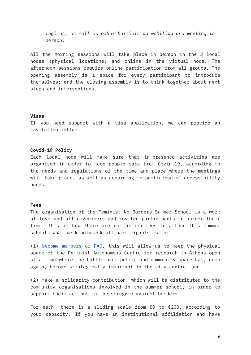*regimes, as well as other barriers to mobility and meeting in person.*

All the morning sessions will take place in person in the 3 local nodes (physical locations) and online in the virtual node. The afternoon sessions require online participation from all groups. The opening assembly is a space for every participant to introduce themselves; and the closing assembly is to think together about next steps and interventions.

#### **Visas**

If you need support with a visa application, we can provide an invitation letter.

#### **Covid-19 Policy**

Each local node will make sure that in-presence activities are organised in order to keep people safe from Covid-19, according to the needs and regulations of the time and place where the meetings will take place, as well as according to participants' accessibility needs.

#### **Fees**

The organisation of the Feminist No Borders Summer School is a work of love and all organisers and invited participants volunteer their time. This is how there are no tuition fees to attend this summer school. What we kindly ask all participants is to:

(1) become [members](https://feministresearch.org/join) of FAC, this will allow us to keep the physical space of the Feminist Autonomous Centre for research in Athens open at a time where the battle over public and community space has, once again, become strategically important in the city centre, and

(2) make a solidarity contribution, which will be distributed to the community organisations involved in the summer school, in order to support their actions in the struggle against borders.

For each, there is a sliding scale from €0 to €200, according to your capacity. If you have an institutional affiliation and have